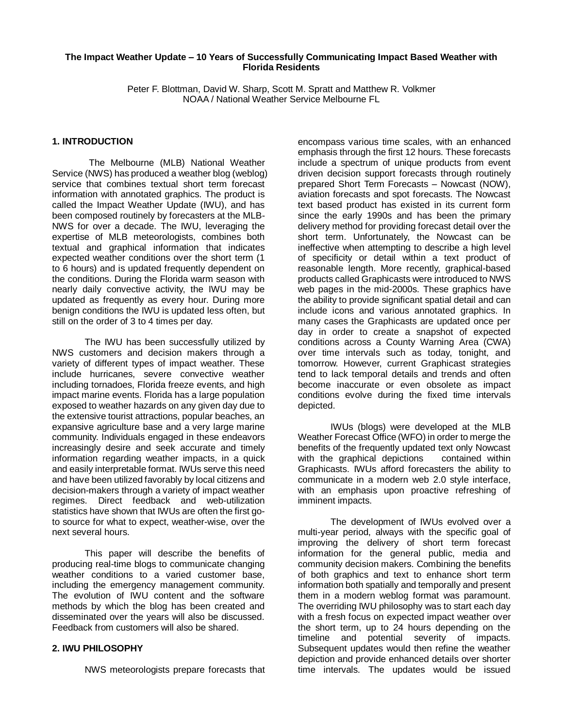## **The Impact Weather Update – 10 Years of Successfully Communicating Impact Based Weather with Florida Residents**

Peter F. Blottman, David W. Sharp, Scott M. Spratt and Matthew R. Volkmer NOAA / National Weather Service Melbourne FL

## **1. INTRODUCTION**

The Melbourne (MLB) National Weather Service (NWS) has produced a weather blog (weblog) service that combines textual short term forecast information with annotated graphics. The product is called the Impact Weather Update (IWU), and has been composed routinely by forecasters at the MLB-NWS for over a decade. The IWU, leveraging the expertise of MLB meteorologists, combines both textual and graphical information that indicates expected weather conditions over the short term (1 to 6 hours) and is updated frequently dependent on the conditions. During the Florida warm season with nearly daily convective activity, the IWU may be updated as frequently as every hour. During more benign conditions the IWU is updated less often, but still on the order of 3 to 4 times per day.

The IWU has been successfully utilized by NWS customers and decision makers through a variety of different types of impact weather. These include hurricanes, severe convective weather including tornadoes, Florida freeze events, and high impact marine events. Florida has a large population exposed to weather hazards on any given day due to the extensive tourist attractions, popular beaches, an expansive agriculture base and a very large marine community. Individuals engaged in these endeavors increasingly desire and seek accurate and timely information regarding weather impacts, in a quick and easily interpretable format. IWUs serve this need and have been utilized favorably by local citizens and decision-makers through a variety of impact weather regimes. Direct feedback and web-utilization statistics have shown that IWUs are often the first goto source for what to expect, weather-wise, over the next several hours.

This paper will describe the benefits of producing real-time blogs to communicate changing weather conditions to a varied customer base, including the emergency management community. The evolution of IWU content and the software methods by which the blog has been created and disseminated over the years will also be discussed. Feedback from customers will also be shared.

# **2. IWU PHILOSOPHY**

NWS meteorologists prepare forecasts that

encompass various time scales, with an enhanced emphasis through the first 12 hours. These forecasts include a spectrum of unique products from event driven decision support forecasts through routinely prepared Short Term Forecasts – Nowcast (NOW), aviation forecasts and spot forecasts. The Nowcast text based product has existed in its current form since the early 1990s and has been the primary delivery method for providing forecast detail over the short term. Unfortunately, the Nowcast can be ineffective when attempting to describe a high level of specificity or detail within a text product of reasonable length. More recently, graphical-based products called Graphicasts were introduced to NWS web pages in the mid-2000s. These graphics have the ability to provide significant spatial detail and can include icons and various annotated graphics. In many cases the Graphicasts are updated once per day in order to create a snapshot of expected conditions across a County Warning Area (CWA) over time intervals such as today, tonight, and tomorrow. However, current Graphicast strategies tend to lack temporal details and trends and often become inaccurate or even obsolete as impact conditions evolve during the fixed time intervals depicted.

IWUs (blogs) were developed at the MLB Weather Forecast Office (WFO) in order to merge the benefits of the frequently updated text only Nowcast with the graphical depictions contained within Graphicasts. IWUs afford forecasters the ability to communicate in a modern web 2.0 style interface, with an emphasis upon proactive refreshing of imminent impacts.

The development of IWUs evolved over a multi-year period, always with the specific goal of improving the delivery of short term forecast information for the general public, media and community decision makers. Combining the benefits of both graphics and text to enhance short term information both spatially and temporally and present them in a modern weblog format was paramount. The overriding IWU philosophy was to start each day with a fresh focus on expected impact weather over the short term, up to 24 hours depending on the timeline and potential severity of impacts. Subsequent updates would then refine the weather depiction and provide enhanced details over shorter time intervals. The updates would be issued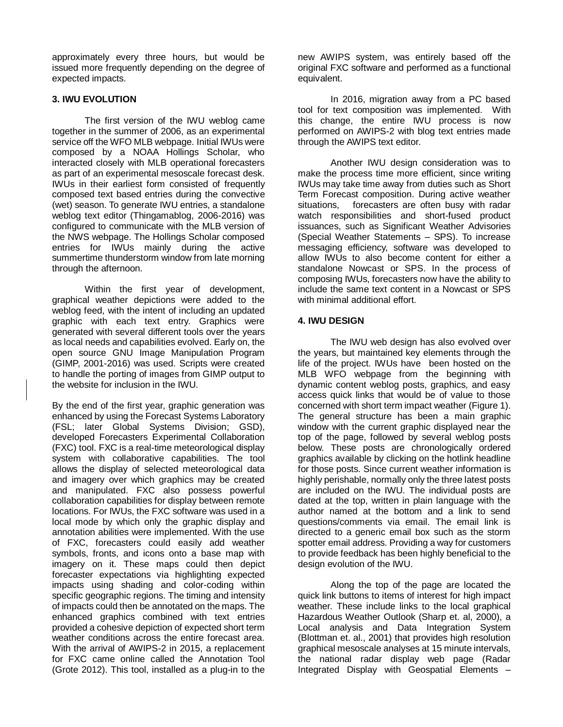approximately every three hours, but would be issued more frequently depending on the degree of expected impacts.

# **3. IWU EVOLUTION**

The first version of the IWU weblog came together in the summer of 2006, as an experimental service off the WFO MLB webpage. Initial IWUs were composed by a NOAA Hollings Scholar, who interacted closely with MLB operational forecasters as part of an experimental mesoscale forecast desk. IWUs in their earliest form consisted of frequently composed text based entries during the convective (wet) season. To generate IWU entries, a standalone weblog text editor (Thingamablog, 2006-2016) was configured to communicate with the MLB version of the NWS webpage. The Hollings Scholar composed entries for IWUs mainly during the active summertime thunderstorm window from late morning through the afternoon.

Within the first year of development, graphical weather depictions were added to the weblog feed, with the intent of including an updated graphic with each text entry. Graphics were generated with several different tools over the years as local needs and capabilities evolved. Early on, the open source GNU Image Manipulation Program (GIMP, 2001-2016) was used. Scripts were created to handle the porting of images from GIMP output to the website for inclusion in the IWU.

By the end of the first year, graphic generation was enhanced by using the Forecast Systems Laboratory (FSL; later Global Systems Division; GSD), developed Forecasters Experimental Collaboration (FXC) tool. FXC is a real-time meteorological display system with collaborative capabilities. The tool allows the display of selected meteorological data and imagery over which graphics may be created and manipulated. FXC also possess powerful collaboration capabilities for display between remote locations. For IWUs, the FXC software was used in a local mode by which only the graphic display and annotation abilities were implemented. With the use of FXC, forecasters could easily add weather symbols, fronts, and icons onto a base map with imagery on it. These maps could then depict forecaster expectations via highlighting expected impacts using shading and color-coding within specific geographic regions. The timing and intensity of impacts could then be annotated on the maps. The enhanced graphics combined with text entries provided a cohesive depiction of expected short term weather conditions across the entire forecast area. With the arrival of AWIPS-2 in 2015, a replacement for FXC came online called the Annotation Tool (Grote 2012). This tool, installed as a plug-in to the

new AWIPS system, was entirely based off the original FXC software and performed as a functional equivalent.

In 2016, migration away from a PC based tool for text composition was implemented. With this change, the entire IWU process is now performed on AWIPS-2 with blog text entries made through the AWIPS text editor.

Another IWU design consideration was to make the process time more efficient, since writing IWUs may take time away from duties such as Short Term Forecast composition. During active weather situations, forecasters are often busy with radar watch responsibilities and short-fused product issuances, such as Significant Weather Advisories (Special Weather Statements – SPS). To increase messaging efficiency, software was developed to allow IWUs to also become content for either a standalone Nowcast or SPS. In the process of composing IWUs, forecasters now have the ability to include the same text content in a Nowcast or SPS with minimal additional effort.

# **4. IWU DESIGN**

The IWU web design has also evolved over the years, but maintained key elements through the life of the project. IWUs have been hosted on the MLB WFO webpage from the beginning with dynamic content weblog posts, graphics, and easy access quick links that would be of value to those concerned with short term impact weather (Figure 1). The general structure has been a main graphic window with the current graphic displayed near the top of the page, followed by several weblog posts below. These posts are chronologically ordered graphics available by clicking on the hotlink headline for those posts. Since current weather information is highly perishable, normally only the three latest posts are included on the IWU. The individual posts are dated at the top, written in plain language with the author named at the bottom and a link to send questions/comments via email. The email link is directed to a generic email box such as the storm spotter email address. Providing a way for customers to provide feedback has been highly beneficial to the design evolution of the IWU.

Along the top of the page are located the quick link buttons to items of interest for high impact weather. These include links to the local graphical Hazardous Weather Outlook (Sharp et. al, 2000), a Local analysis and Data Integration System (Blottman et. al., 2001) that provides high resolution graphical mesoscale analyses at 15 minute intervals, the national radar display web page (Radar Integrated Display with Geospatial Elements –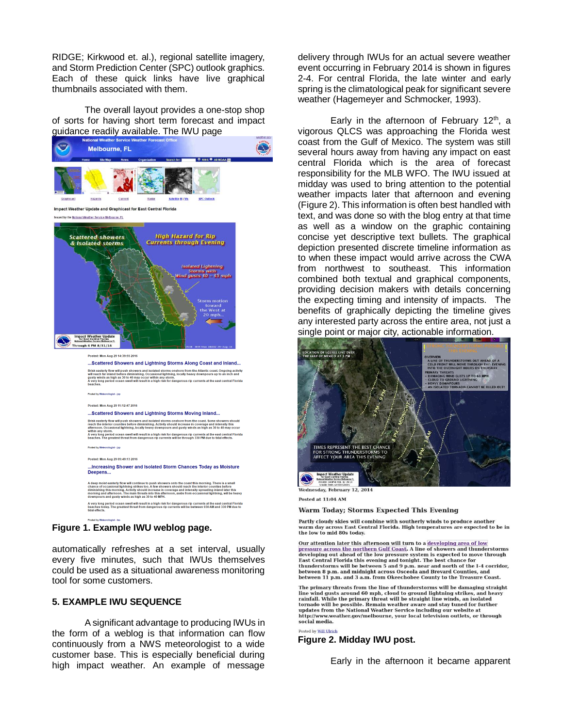RIDGE; Kirkwood et. al.), regional satellite imagery, and Storm Prediction Center (SPC) outlook graphics. Each of these quick links have live graphical thumbnails associated with them.

The overall layout provides a one-stop shop of sorts for having short term forecast and impact guidance readily available. The IWU page



**Figure 1. Example IWU weblog page.**

automatically refreshes at a set interval, usually every five minutes, such that IWUs themselves could be used as a situational awareness monitoring tool for some customers.

# **5. EXAMPLE IWU SEQUENCE**

A significant advantage to producing IWUs in the form of a weblog is that information can flow continuously from a NWS meteorologist to a wide customer base. This is especially beneficial during high impact weather. An example of message

delivery through IWUs for an actual severe weather event occurring in February 2014 is shown in figures 2-4. For central Florida, the late winter and early spring is the climatological peak for significant severe weather (Hagemeyer and Schmocker, 1993).

Early in the afternoon of February  $12<sup>th</sup>$ , a vigorous QLCS was approaching the Florida west coast from the Gulf of Mexico. The system was still several hours away from having any impact on east central Florida which is the area of forecast responsibility for the MLB WFO. The IWU issued at midday was used to bring attention to the potential weather impacts later that afternoon and evening (Figure 2). This information is often best handled with text, and was done so with the blog entry at that time as well as a window on the graphic containing concise yet descriptive text bullets. The graphical depiction presented discrete timeline information as to when these impact would arrive across the CWA from northwest to southeast. This information combined both textual and graphical components, providing decision makers with details concerning the expecting timing and intensity of impacts. The benefits of graphically depicting the timeline gives any interested party across the entire area, not just a single point or major city, actionable information.



Posted at 11:04 AM

### **Warm Today: Storms Expected This Evening**

Partly cloudy skies will combine with southerly winds to produce another warm day across East Central Florida. High temperatures are expected to be in the low to mid 80s today.

Our attention later this afternoon will turn to a developing area of low on account measure across the northern Gulf Coast. A line of showers and thunderstorms<br>developing out ahead of the low pressure system is expected to move through<br>East Central Florida this evening and tonight. The best cha East central riving and severing and opinion. The loss chance for the I-4 corridor, between 8 p.m. and midnight across Osceola and Brevard Counties, and between 1 p.m. and 3 a.m. from Okeechobee County to the T-reasure Co

The primary threats from the line of thunderstorms will be damaging straight line wind gusts around 60 mph, cloud to ground lightning strikes, and heavy<br>rainfall. While the primary threat will be straight line winds, an isolated tornado will be possible. Remain weather aware and stay tuned for further extractional Weather Service including our website at<br>http://www.weather.gov/melbourne, your local television outlets, or through social media.

Posted by Will Ulrich

### **Figure 2. Midday IWU post.**

Early in the afternoon it became apparent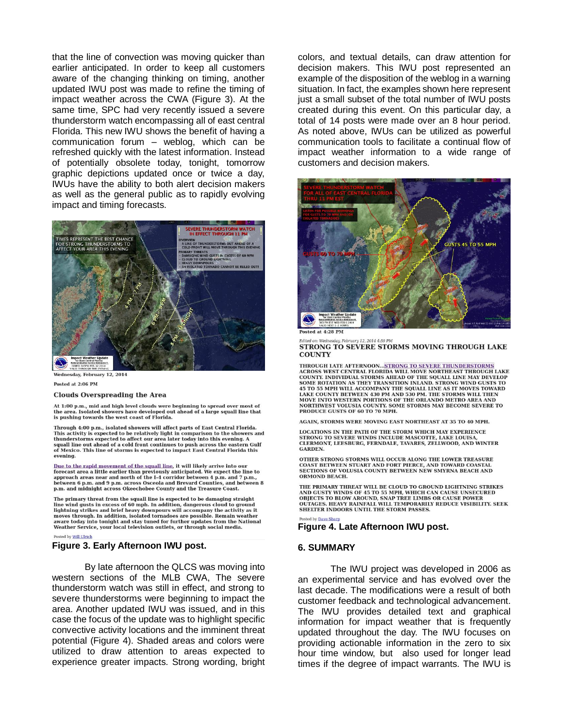that the line of convection was moving quicker than earlier anticipated. In order to keep all customers aware of the changing thinking on timing, another updated IWU post was made to refine the timing of impact weather across the CWA (Figure 3). At the same time, SPC had very recently issued a severe thunderstorm watch encompassing all of east central Florida. This new IWU shows the benefit of having a communication forum – weblog, which can be refreshed quickly with the latest information. Instead of potentially obsolete today, tonight, tomorrow graphic depictions updated once or twice a day, IWUs have the ability to both alert decision makers as well as the general public as to rapidly evolving impact and timing forecasts.



Wednesday, February 12, 2014

#### Posted at 2:06 PM

#### **Clouds Overspreading the Area**

At 1:00 p.m., mid and high level clouds were beginning to spread over most of the area. Isolated showers have developed out ahead of a large squall line that<br>is pushing towards the west coast of Florida.

Through 4:00 p.m., isolated showers will affect parts of East Central Florida. This activity is expected to be relatively light in comparison to the showers and<br>thunderstorms expected to affect our area later today into this evening. A squall line out ahead of a cold front continues to push across the eastern Gulf of Mexico. This line of storms is expected to impact East Central Florida this evening.

Due to the rapid movement of the squall line, it will likely arrive into our forecast area a little earlier than previously anticipated. We expect the line to approach areas near and north of the I-4 corridor between 4 p.m. and 7 p.m., between 6 p.m. and 9 p.m. across Osceola and Brevard Counties, and between 8 p.m. and midnight across Okeechobee County and the Treasure Coast.

The primary threat from the squall line is expected to be damaging straight wind gusts in excess of 60 mph. In addition, dangerous cloud to ground lightning strikes and brief heavy downpours will accompany the activity as it moves through. In addition, isolated tornadoes are possible. Remain weather aware today into tonight and stay tuned for further updates from the National Weather Service, your local television outlets, or through social media.

### Posted by Will Ulrich

### **Figure 3. Early Afternoon IWU post.**

By late afternoon the QLCS was moving into western sections of the MLB CWA, The severe thunderstorm watch was still in effect, and strong to severe thunderstorms were beginning to impact the area. Another updated IWU was issued, and in this case the focus of the update was to highlight specific convective activity locations and the imminent threat potential (Figure 4). Shaded areas and colors were utilized to draw attention to areas expected to experience greater impacts. Strong wording, bright

colors, and textual details, can draw attention for decision makers. This IWU post represented an example of the disposition of the weblog in a warning situation. In fact, the examples shown here represent just a small subset of the total number of IWU posts created during this event. On this particular day, a total of 14 posts were made over an 8 hour period. As noted above, IWUs can be utilized as powerful communication tools to facilitate a continual flow of impact weather information to a wide range of customers and decision makers.



Posted at 4:28 PM

STRONG TO SEVERE STORMS MOVING THROUGH LAKE **COUNTY** 

THROUGH LATE AFTERNOON...STRONG TO SEVERE THUNDERSTORMS<br>ACROSS WEST CENTRAL FLORIDA WILL MOVE NORTHEAST THROUGH LAKE<br>COUNTY. INDIVIDUAL STORMS AHEAD OF THE SQUALL LINE MAY DEVELOP SOME ROTATION AS THEY TRANSITION INIAND. STRONG WIND GUSTS TO 45 TO 55 MPH WILL ACCOMPANY THE SQUALL LINE AS IT MOVES TOWARD 45 TO 35 MPH WILL ACCOMPANY THE SYOALL LINE AS IT MOVES TOWARD.<br>LAKE COUNTY BETWEEN 430 PM AND 530 PM. THE STORMS WILL THEN<br>MOVE INTO WESTERN PORTIONS OF THE ORLANDO METRO AREA AND<br>NORTHWEST VOLUSIA COUNTY. SOME STORMS MAY PRODUCE GUSTS OF 60 TO 70 MPH.

AGAIN, STORMS WERE MOVING EAST NORTHEAST AT 35 TO 40 MPH.

LOCATIONS IN THE PATH OF THE STORM WHICH MAY EXPERIENCE STRONG TO SEVERE WINDS INCLUDE MASCOTTE, LAKE LOUISA CLERMONT, LEESBURG, FERNDALE, TAVARES, ZELLWOOD, AND WINTER **GARDEN.** 

OTHER STRONG STORMS WILL OCCUR ALONG THE LOWER TREASURE COAST BETWEEN STUART AND FORT PIERCE, AND TOWARD COASTAL SECTIONS OF VOLUSIA COUNTY BETWEEN NEW SMYRNA BEACH AND ORMOND BEACH.

THE PRIMARY THREAT WILL BE CLOUD TO GROUND LIGHTNING STRIKES AND GUSTY WINDS OF 45 TO 55 MPH, WHICH CAN CAUSE UNSECURED<br>OBJECTS TO BLOW AROUND, SNAP TREE LIMBS OR CAUSE POWER **OUTAGES. HEAVY RAINFALL WILL TEMPORARILY REDUCE VISIBILITY. SEEK** SHELTER INDOORS UNTIL THE STORM PASSES. Posted by Dave Sharp

### **Figure 4. Late Afternoon IWU post.**

### **6. SUMMARY**

The IWU project was developed in 2006 as an experimental service and has evolved over the last decade. The modifications were a result of both customer feedback and technological advancement. The IWU provides detailed text and graphical information for impact weather that is frequently updated throughout the day. The IWU focuses on providing actionable information in the zero to six hour time window, but also used for longer lead times if the degree of impact warrants. The IWU is